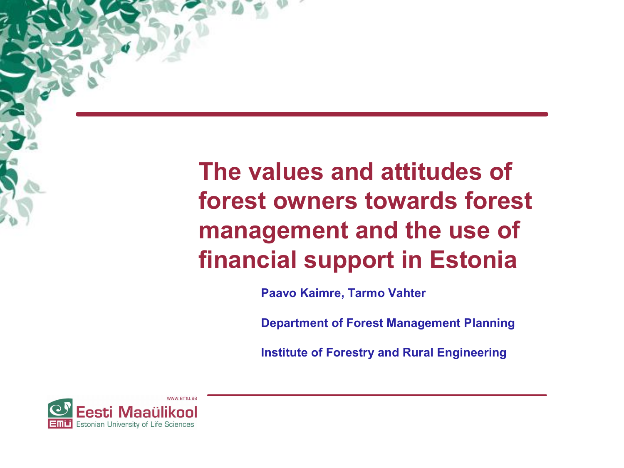**The values and attitudes of forest owners towards forest management and the use of financial support in Estonia** 

**Paavo Kaimre, Tarmo Vahter** 

**Department of Forest Management Planning**

**Institute of Forestry and Rural Engineering**

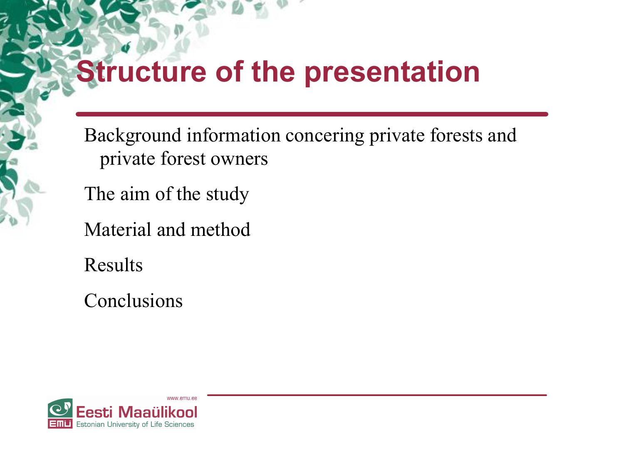## **Structure of the presentation**

Background information concering private forests and private forest owners

The aim of the study

Material and method

Results

Conclusions

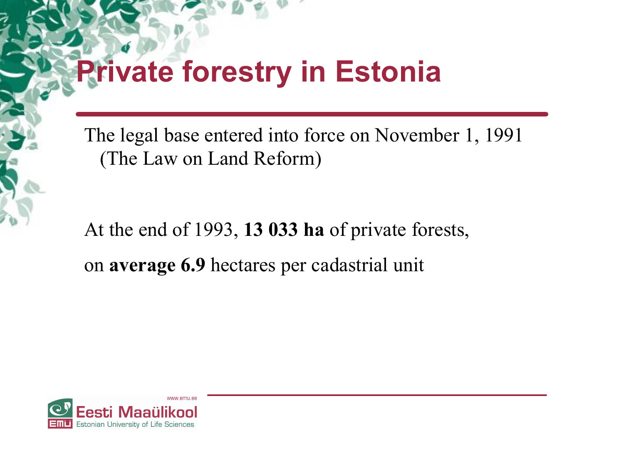## **Private forestry in Estonia**

The legal base entered into force on November 1, 1991 (The Law on Land Reform)

At the end of 1993, **13 033 ha** of private forests, on **average 6.9** hectares per cadastrial unit

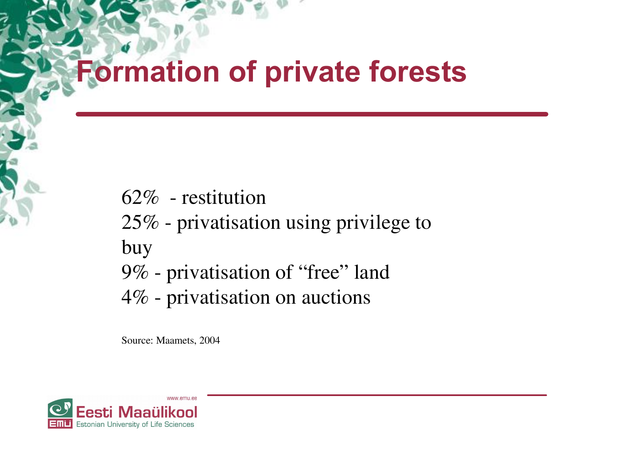## **Formation of private forests**

- 62% restitution
- 25% privatisation using privilege to

buy

- 9% privatisation of "free" land
- 4% privatisation on auctions

Source: Maamets, 2004

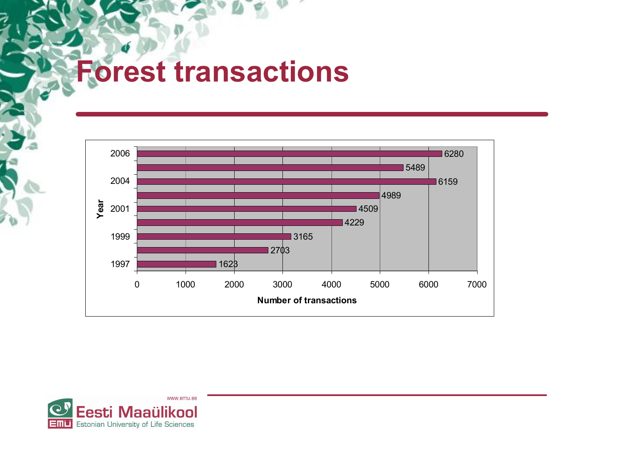## **Forest transactions**



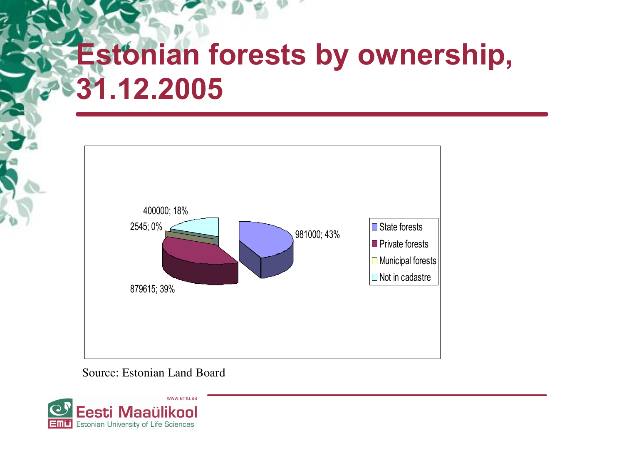# **Estonian forests by ownership, 31.12.2005**



Source: Estonian Land Board

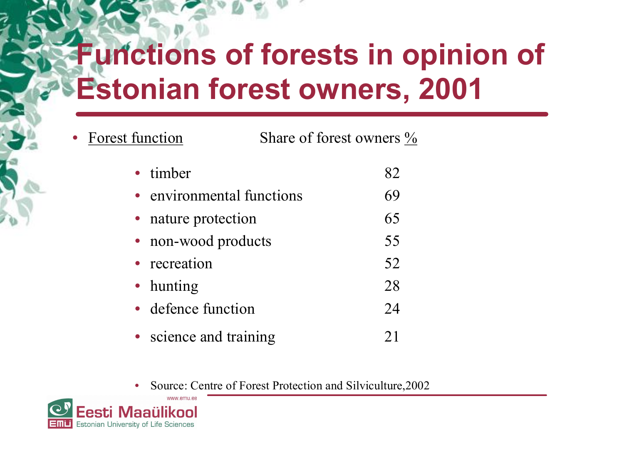# **Functions of forests in opinion of Estonian forest owners, 2001**

- Forest function Share of forest owners % timber 82 environmental functions 69 nature protection 65 non-wood products 55 recreation 52 • hunting 28 defence function 24 • science and training 21
	- Source: Centre of Forest Protection and Silviculture, 2002

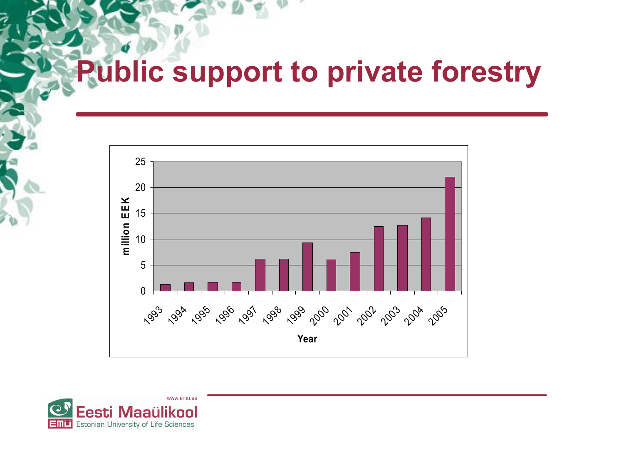# **Public support to private forestry**



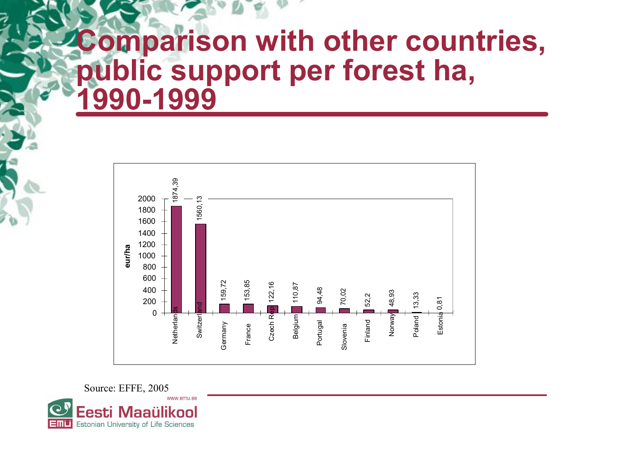### **Comparison with other countries, public support per forest ha, 19901999**



Source: EFFE, 2005 esti Maaülikool:

Estonian University of Life Sciences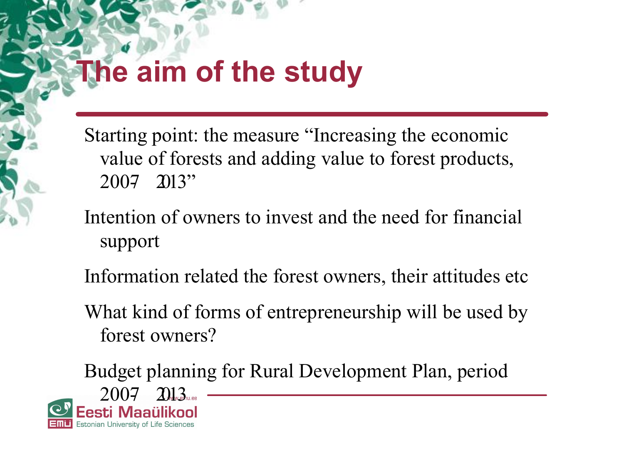# **The aim of the study**

Starting point: the measure "Increasing the economic value of forests and adding value to forest products,  $2007$  2013"

- Intention of owners to invest and the need for financial support
- Information related the forest owners, their attitudes etc
- What kind of forms of entrepreneurship will be used by forest owners?

Budget planning for Rural Development Plan, period - 2007 2013<br>Esti Maaülikool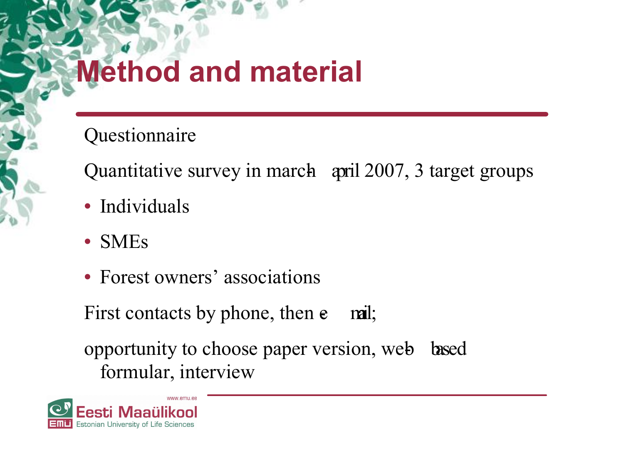# **Method and material**

Questionnaire

Quantitative survey in march april 2007, 3 target groups

- Individuals
- SMEs
- Forest owners' associations

First contacts by phone, then  $e$  mail;

opportunity to choose paper version, web based formular, interview

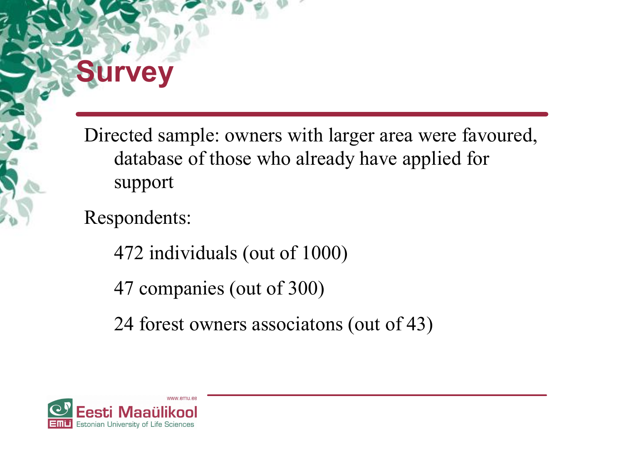# **Survey**

Directed sample: owners with larger area were favoured, database of those who already have applied for support

Respondents:

472 individuals (out of 1000)

47 companies (out of 300)

24 forest owners associatons (out of 43)

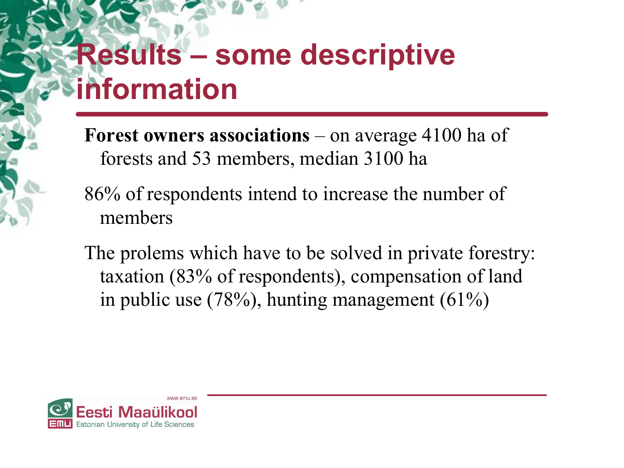# **Results – some descriptive information**

**Forest owners associations** – on average 4100 ha of forests and 53 members, median 3100 ha

- 86% of respondents intend to increase the number of members
- The prolems which have to be solved in private forestry: taxation (83% of respondents), compensation of land in public use (78%), hunting management (61%)

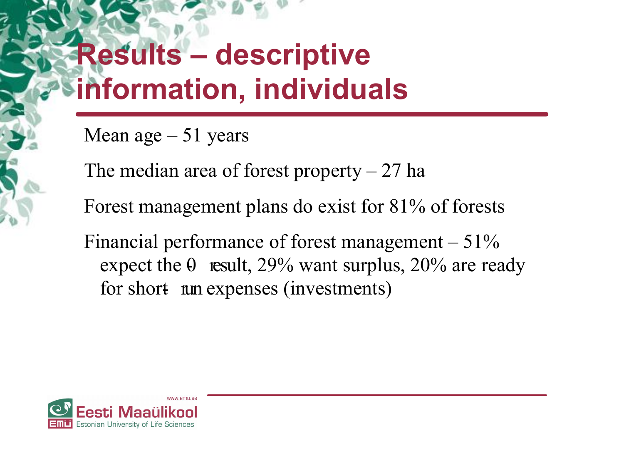# **Results – descriptive information, individuals**

Mean age – 51 years

The median area of forest property  $-27$  ha

Forest management plans do exist for 81% of forests

Financial performance of forest management  $-51\%$ expect the  $\theta$  result, 29% want surplus, 20% are ready for short nun expenses (investments)

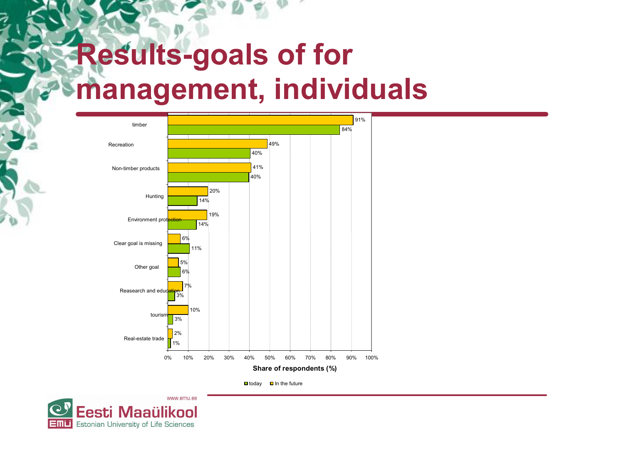# **Results-goals of for management, individuals**



 $\Box$  today  $\Box$  In the future

www.emu.ee Eesti Maaülikool Estonian University of Life Sciences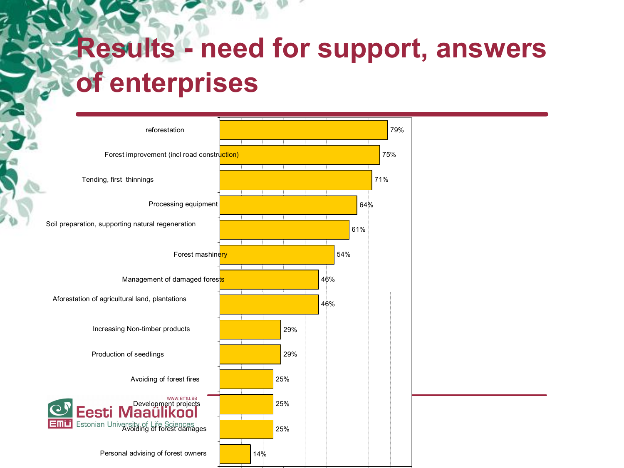# **Results - need for support, answers of enterprises**

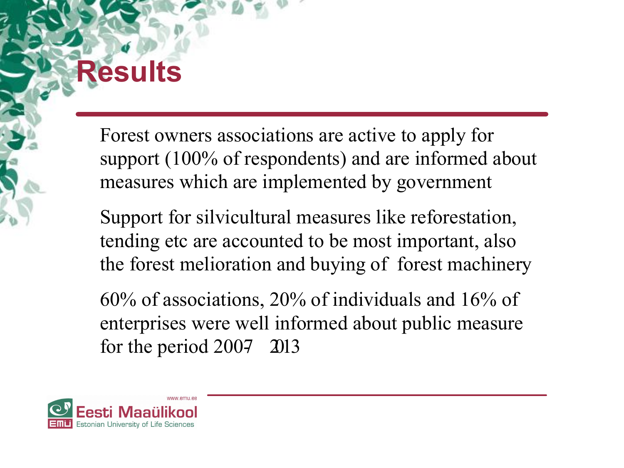# **Results**

Forest owners associations are active to apply for support (100% of respondents) and are informed about measures which are implemented by government

Support for silvicultural measures like reforestation, tending etc are accounted to be most important, also the forest melioration and buying of forest machinery

60% of associations, 20% of individuals and 16% of enterprises were well informed about public measure for the period  $2007$  2013

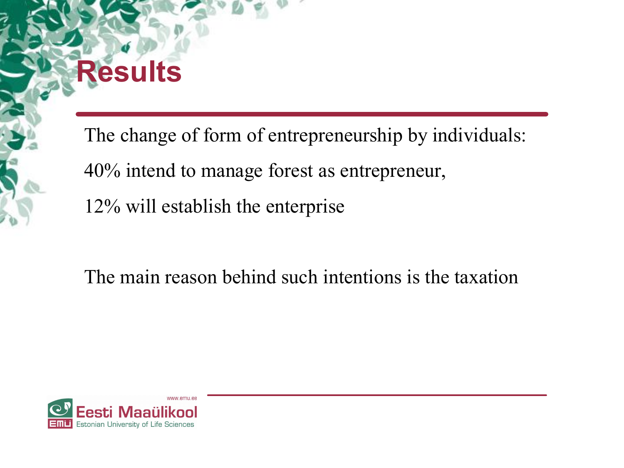# **Results**

The change of form of entrepreneurship by individuals: 40% intend to manage forest as entrepreneur, 12% will establish the enterprise

#### The main reason behind such intentions is the taxation

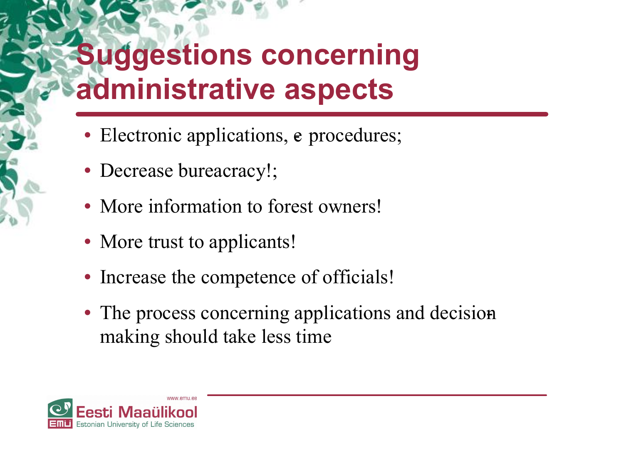# **Suggestions concerning administrative aspects**

- Electronic applications, e procedures;
- Decrease bureacracy!;
- More information to forest owners!
- More trust to applicants!
- Increase the competence of officials!
- The process concerning applications and decision making should take less time

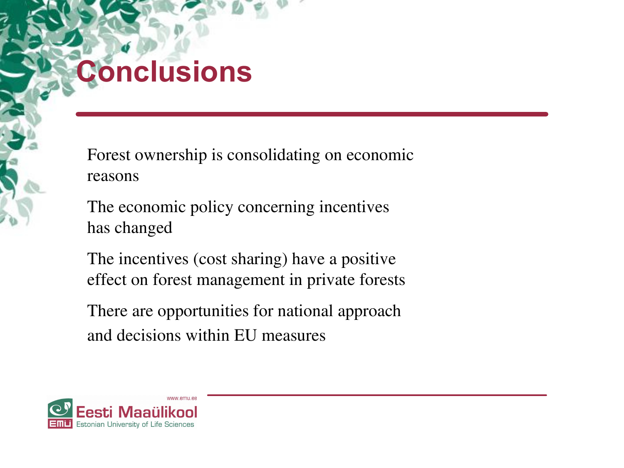# **Conclusions**

Forest ownership is consolidating on economic reasons

The economic policy concerning incentives has changed

The incentives (cost sharing) have a positive effect on forest management in private forests

There are opportunities for national approach and decisions within EU measures